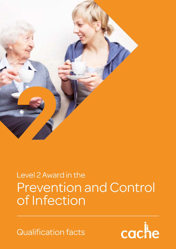

## Prevention and Control of Infection Level 2 Award in the

Qualification facts

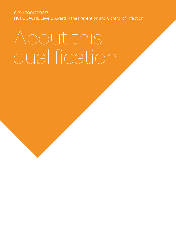QRN: 600/3096/3 NCFE CACHE Level 2 Award in the Prevention and Control of Infection

# About this qualification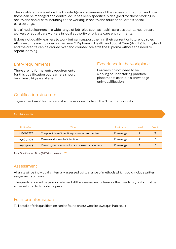This qualification develops the knowledge and awareness of the causes of infection, and how these can be managed and controlled. It has been specifically designed for those working in health and social care including those working in health and adult or children's social care settings.

It is aimed at learners in a wide range of job roles such as health care assistants, health care workers or social care workers in local authority or private care environments.

It does not qualify learners to work but can support them in their current or future job roles. All three units are included in the Level 2 Diploma in Health and Social Care (Adults) for England and the credits can be carried over and counted towards the Diploma without the need to repeat learning.

#### Entry requirements

There are no formal entry requirements for this qualification but learners should be at least 14 years of age.

#### Experience in the workplace

Learners do not need to be working or undertaking practical placements as this is a knowledge only qualification.

#### Qualification structure

To gain the Award learners must achieve 7 credits from the 3 mandatory units.

Mandatory units

| Unit ref no. | Title                                              | Unit type | Level | Credit |
|--------------|----------------------------------------------------|-----------|-------|--------|
| L/501/6737   | The principles of infection prevention and control | Knowledge |       |        |
| H/501/7103   | Causes and spread of infection                     | Knowledge |       |        |
| R/501/6738   | Cleaning, decontamination and waste management     | Knowledge |       |        |

Total Qualification Time (TQT) for the Award: 70

#### Assessment

All units will be individually internally assessed using a range of methods which could include written assignments or tasks.

The qualification will be pass or refer and all the assessment criteria for the mandatory units must be achieved in order to obtain a pass.

### For more information

Full details of this qualification can be found on our website www.qualhub.co.uk